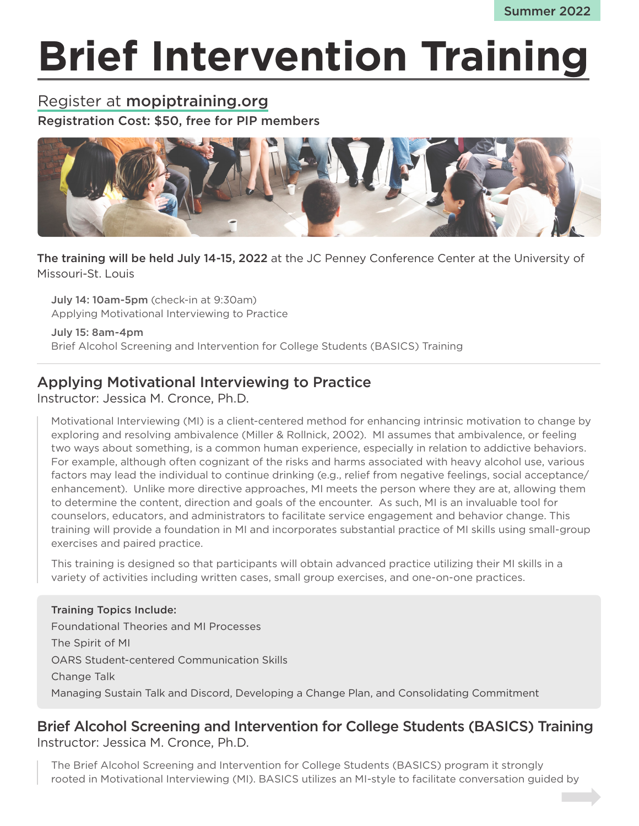# **Brief Intervention Training**

# Register at mopiptraining.org Registration Cost: \$50, free for PIP members



The training will be held July 14-15, 2022 at the JC Penney Conference Center at the University of Missouri-St. Louis

July 14: 10am-5pm (check-in at 9:30am) Applying Motivational Interviewing to Practice

July 15: 8am-4pm Brief Alcohol Screening and Intervention for College Students (BASICS) Training

## Applying Motivational Interviewing to Practice

Instructor: Jessica M. Cronce, Ph.D.

Motivational Interviewing (MI) is a client-centered method for enhancing intrinsic motivation to change by exploring and resolving ambivalence (Miller & Rollnick, 2002). MI assumes that ambivalence, or feeling two ways about something, is a common human experience, especially in relation to addictive behaviors. For example, although often cognizant of the risks and harms associated with heavy alcohol use, various factors may lead the individual to continue drinking (e.g., relief from negative feelings, social acceptance/ enhancement). Unlike more directive approaches, MI meets the person where they are at, allowing them to determine the content, direction and goals of the encounter. As such, MI is an invaluable tool for counselors, educators, and administrators to facilitate service engagement and behavior change. This training will provide a foundation in MI and incorporates substantial practice of MI skills using small-group exercises and paired practice.

This training is designed so that participants will obtain advanced practice utilizing their MI skills in a variety of activities including written cases, small group exercises, and one-on-one practices.

#### Training Topics Include: Foundational Theories and MI Processes The Spirit of MI OARS Student-centered Communication Skills Change Talk Managing Sustain Talk and Discord, Developing a Change Plan, and Consolidating Commitment

## Brief Alcohol Screening and Intervention for College Students (BASICS) Training Instructor: Jessica M. Cronce, Ph.D.

The Brief Alcohol Screening and Intervention for College Students (BASICS) program it strongly rooted in Motivational Interviewing (MI). BASICS utilizes an MI-style to facilitate conversation guided by